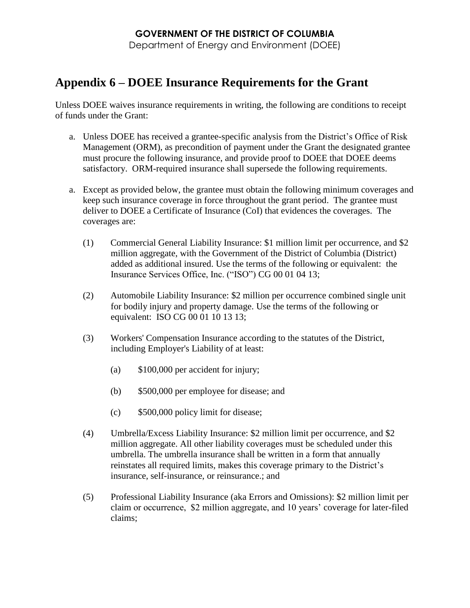## **GOVERNMENT OF THE DISTRICT OF COLUMBIA**

Department of Energy and Environment (DOEE)

## **Appendix 6 – DOEE Insurance Requirements for the Grant**

Unless DOEE waives insurance requirements in writing, the following are conditions to receipt of funds under the Grant:

- a. Unless DOEE has received a grantee-specific analysis from the District's Office of Risk Management (ORM), as precondition of payment under the Grant the designated grantee must procure the following insurance, and provide proof to DOEE that DOEE deems satisfactory. ORM-required insurance shall supersede the following requirements.
- a. Except as provided below, the grantee must obtain the following minimum coverages and keep such insurance coverage in force throughout the grant period. The grantee must deliver to DOEE a Certificate of Insurance (CoI) that evidences the coverages. The coverages are:
	- (1) Commercial General Liability Insurance: \$1 million limit per occurrence, and \$2 million aggregate, with the Government of the District of Columbia (District) added as additional insured. Use the terms of the following or equivalent: the Insurance Services Office, Inc. ("ISO") CG 00 01 04 13;
	- (2) Automobile Liability Insurance: \$2 million per occurrence combined single unit for bodily injury and property damage. Use the terms of the following or equivalent: ISO CG 00 01 10 13 13;
	- (3) Workers' Compensation Insurance according to the statutes of the District, including Employer's Liability of at least:
		- (a) \$100,000 per accident for injury;
		- (b) \$500,000 per employee for disease; and
		- (c) \$500,000 policy limit for disease;
	- (4) Umbrella/Excess Liability Insurance: \$2 million limit per occurrence, and \$2 million aggregate. All other liability coverages must be scheduled under this umbrella. The umbrella insurance shall be written in a form that annually reinstates all required limits, makes this coverage primary to the District's insurance, self-insurance, or reinsurance.; and
	- (5) Professional Liability Insurance (aka Errors and Omissions): \$2 million limit per claim or occurrence, \$2 million aggregate, and 10 years' coverage for later-filed claims;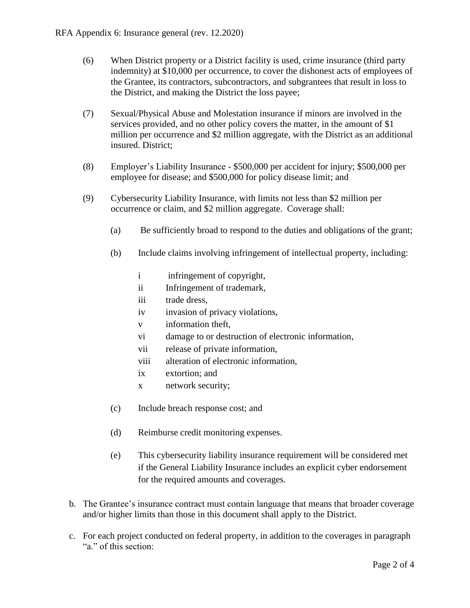- (6) When District property or a District facility is used, crime insurance (third party indemnity) at \$10,000 per occurrence, to cover the dishonest acts of employees of the Grantee, its contractors, subcontractors, and subgrantees that result in loss to the District, and making the District the loss payee;
- (7) Sexual/Physical Abuse and Molestation insurance if minors are involved in the services provided, and no other policy covers the matter, in the amount of \$1 million per occurrence and \$2 million aggregate, with the District as an additional insured. District;
- (8) Employer's Liability Insurance \$500,000 per accident for injury; \$500,000 per employee for disease; and \$500,000 for policy disease limit; and
- (9) Cybersecurity Liability Insurance, with limits not less than \$2 million per occurrence or claim, and \$2 million aggregate. Coverage shall:
	- (a) Be sufficiently broad to respond to the duties and obligations of the grant;
	- (b) Include claims involving infringement of intellectual property, including:
		- i infringement of copyright,
		- ii Infringement of trademark,
		- iii trade dress,
		- iv invasion of privacy violations,
		- v information theft,
		- vi damage to or destruction of electronic information,
		- vii release of private information,
		- viii alteration of electronic information,
		- ix extortion; and
		- x network security;
	- (c) Include breach response cost; and
	- (d) Reimburse credit monitoring expenses.
	- (e) This cybersecurity liability insurance requirement will be considered met if the General Liability Insurance includes an explicit cyber endorsement for the required amounts and coverages.
- b. The Grantee's insurance contract must contain language that means that broader coverage and/or higher limits than those in this document shall apply to the District.
- c. For each project conducted on federal property, in addition to the coverages in paragraph "a." of this section: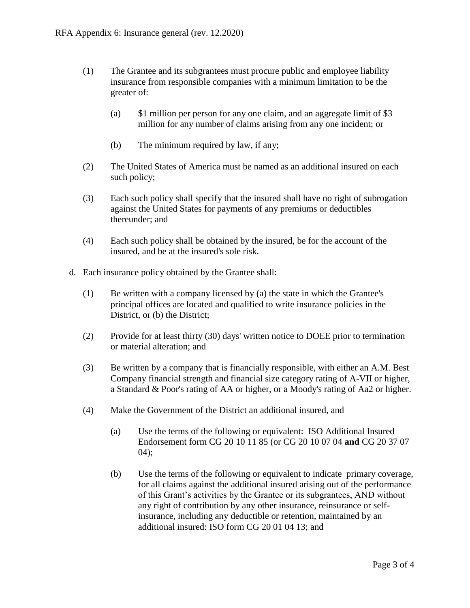- (1) The Grantee and its subgrantees must procure public and employee liability insurance from responsible companies with a minimum limitation to be the greater of:
	- (a) \$1 million per person for any one claim, and an aggregate limit of \$3 million for any number of claims arising from any one incident; or
	- (b) The minimum required by law, if any;
- (2) The United States of America must be named as an additional insured on each such policy;
- (3) Each such policy shall specify that the insured shall have no right of subrogation against the United States for payments of any premiums or deductibles thereunder; and
- (4) Each such policy shall be obtained by the insured, be for the account of the insured, and be at the insured's sole risk.
- d. Each insurance policy obtained by the Grantee shall:
	- (1) Be written with a company licensed by (a) the state in which the Grantee's principal offices are located and qualified to write insurance policies in the District, or (b) the District;
	- (2) Provide for at least thirty (30) days' written notice to DOEE prior to termination or material alteration; and
	- (3) Be written by a company that is financially responsible, with either an A.M. Best Company financial strength and financial size category rating of A-VII or higher, a Standard & Poor's rating of AA or higher, or a Moody's rating of Aa2 or higher.
	- (4) Make the Government of the District an additional insured, and
		- (a) Use the terms of the following or equivalent: ISO Additional Insured Endorsement form CG 20 10 11 85 (or CG 20 10 07 04 **and** CG 20 37 07  $04$ :
		- (b) Use the terms of the following or equivalent to indicate primary coverage, for all claims against the additional insured arising out of the performance of this Grant's activities by the Grantee or its subgrantees, AND without any right of contribution by any other insurance, reinsurance or selfinsurance, including any deductible or retention, maintained by an additional insured: ISO form CG 20 01 04 13; and